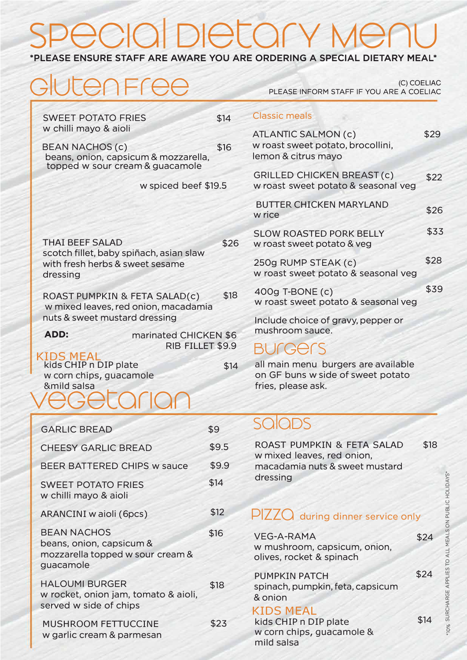# $\bigcap$ DIETOM

#### \*PLEASE ENSURE STAFF ARE AWARE YOU ARE ORDERING A SPECIAL DIETARY MEAL\*

| GlutenFree                                                                             |                  | PLEASE INFORM STAFF IF YOU ARE A COELIAC                                                       | (C) COELIAC |
|----------------------------------------------------------------------------------------|------------------|------------------------------------------------------------------------------------------------|-------------|
| <b>SWEET POTATO FRIES</b><br>w chilli mayo & aioli                                     | \$14             | <b>Classic meals</b>                                                                           |             |
| <b>BEAN NACHOS (c)</b><br>beans, onion, capsicum & mozzarella,                         | \$16             | <b>ATLANTIC SALMON (c)</b><br>w roast sweet potato, brocollini,<br>lemon & citrus mayo         | \$29        |
| topped w sour cream & guacamole<br>w spiced beef \$19.5                                |                  | <b>GRILLED CHICKEN BREAST (c)</b><br>w roast sweet potato & seasonal veg                       | \$22        |
|                                                                                        |                  | <b>BUTTER CHICKEN MARYLAND</b><br>w rice                                                       | \$26        |
| <b>THAI BEEF SALAD</b>                                                                 | \$26             | <b>SLOW ROASTED PORK BELLY</b><br>w roast sweet potato & veg                                   | \$33        |
| scotch fillet, baby spiñach, asian slaw<br>with fresh herbs & sweet sesame<br>dressing |                  | 250g RUMP STEAK (c)<br>w roast sweet potato & seasonal veg                                     | \$28        |
| ROAST PUMPKIN & FETA SALAD(c)<br>w mixed leaves, red onion, macadamia                  |                  | 400g T-BONE (c)<br>w roast sweet potato & seasonal veg                                         | \$39        |
| nuts & sweet mustard dressing<br>ADD:<br>marinated CHICKEN \$6                         |                  | Include choice of gravy, pepper or<br>mushroom sauce.                                          |             |
| <b>KIDS MEAL</b>                                                                       | RIB FILLET \$9.9 | <b>BUGGERS</b>                                                                                 |             |
| kids CHIP n DIP plate<br>w corn chips, guacamole<br>&mild salsa                        | \$14             | all main menu burgers are available<br>on GF buns w side of sweet potato<br>fries, please ask. |             |
|                                                                                        |                  |                                                                                                |             |
| <b>GARLIC BREAD</b>                                                                    | \$9              | <b>SQIQDS</b>                                                                                  |             |
| <b>CHEESY GARLIC BREAD</b>                                                             | \$9.5            | ROAST PUMPKIN & FETA SALAD<br>w mixed leaves, red onion,                                       | \$18        |
| <b>BEER BATTERED CHIPS w sauce</b>                                                     | \$9.9            | macadamia nuts & sweet mustard                                                                 |             |

PIZZO during dinner service only

dressing

 $$14$ 

 $$12$ 

\$16

\$18

 $$23$ 

**SWEET POTATO FRIES** w chilli mayo & aioli

**ARANCINI** w aioli (6pcs)

beans, onion, capsicum &

mozzarella topped w sour cream &

w rocket, onion jam, tomato & aioli,

**BEAN NACHOS** 

**HALOUMI BURGER** 

served w side of chips

MUSHROOM FETTUCCINE w garlic cream & parmesan

guacamole

| <b>VEG-A-RAMA</b><br>w mushroom, capsicum, onion,<br>olives, rocket & spinach        | \$24 |
|--------------------------------------------------------------------------------------|------|
| <b>PUMPKIN PATCH</b><br>spinach, pumpkin, feta, capsicum<br>& onion                  | \$24 |
| <b>KIDS MEAL</b><br>kids CHIP n DIP plate<br>w corn chips, quacamole &<br>mild salsa | \$14 |